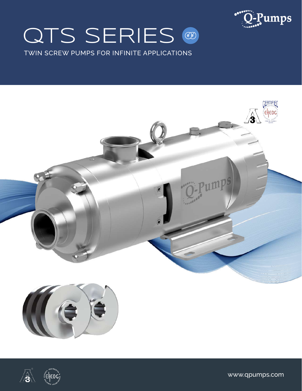# QTS SERIES @



TWIN SCREW PUMPS FOR INFINITE APPLICATIONS





www.qpumps.com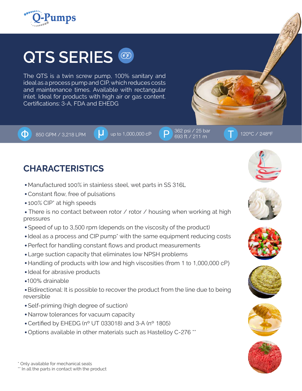

## **QTS SERIES**

The QTS is a twin screw pump, 100% sanitary and ideal as a process pump and CIP, which reduces costs and maintenance times. Available with rectangular inlet. Ideal for products with high air or gas content. Certifications: 3-A, FDA and EHEDG

850 GPM / 3,218 LPM  $\begin{pmatrix} 1 \\ 1 \end{pmatrix}$  up to 1,000,000 cP  $\begin{pmatrix} 262 & 0.362 & 0.361 & 0.25 & 0.361 & 0.361 & 0.361 & 0.361 & 0.361 & 0.361 & 0.361 & 0.361 & 0.361 & 0.361 & 0.361 & 0.361 & 0.361 & 0.361 & 0.361 & 0.361 & 0.361 & 0.361 & 0.3$ Ф.

#### 693 ft / 211 m

## **CHARACTERISTICS**

- Manufactured 100% in stainless steel, wet parts in SS 316L
- Constant flow, free of pulsations
- 100% CIP<sup>\*</sup> at high speeds
- There is no contact between rotor / rotor / housing when working at high pressures
- Speed of up to 3,500 rpm (depends on the viscosity of the product)
- Ideal as a process and CIP pump<sup>\*</sup> with the same equipment reducing costs
- Perfect for handling constant flows and product measurements
- Large suction capacity that eliminates low NPSH problems
- Handling of products with low and high viscosities (from 1 to 1,000,000 cP)
- Ideal for abrasive products
- 100% drainable

 Bidirectional: It is possible to recover the product from the line due to being reversible

- Self-priming (high degree of suction)
- Narrow tolerances for vacuum capacity
- Certified by EHEDG (nº UT 033018) and 3-A (nº 1805)
- Options available in other materials such as Hastelloy C-276 \*\*











\*\* In all the parts in contact with the product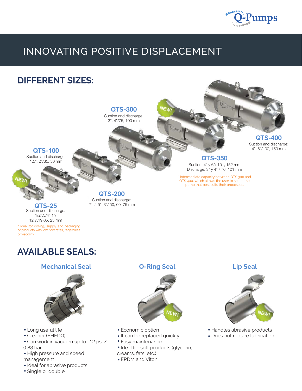

## INNOVATING POSITIVE DISPLACEMENT



### **AVAILABLE SEALS:**

#### **Mechanical Seal O-Ring Seal Lip Seal**



- Long useful life
- Cleaner (EHEDG)
- Can work in vacuum up to -12 psi / 0.83 bar
- High pressure and speed management
- Ideal for abrasive products
- Single or double



- Economic option
- It can be replaced quickly
- Easy maintenance
- Ideal for soft products (glycerin, creams, fats, etc.)
- EPDM and Viton



- Handles abrasive products
- Does not require lubrication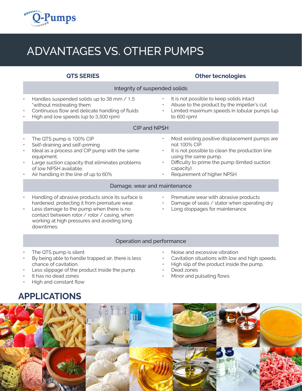

## ADVANTAGES VS. OTHER PUMPS

|   | <b>QTS SERIES</b>                                                                                                                                                                                                                                           |                        | <b>Other tecnologies</b>                                                                                                                                                                                                               |  |  |  |  |  |  |  |
|---|-------------------------------------------------------------------------------------------------------------------------------------------------------------------------------------------------------------------------------------------------------------|------------------------|----------------------------------------------------------------------------------------------------------------------------------------------------------------------------------------------------------------------------------------|--|--|--|--|--|--|--|
|   | Integrity of suspended solids                                                                                                                                                                                                                               |                        |                                                                                                                                                                                                                                        |  |  |  |  |  |  |  |
| ۰ | Handles suspended solids up to 38 mm / 1.5<br>"without mistreating them.<br>Continuous flow and delicate handling of fluids<br>High and low speeds (up to 3,500 rpm)                                                                                        | $\bullet$<br>$\bullet$ | It is not possible to keep solids intact<br>Abuse to the product by the impeller's cut<br>Limited maximum speeds in lobular pumps (up<br>to 600 rpm)                                                                                   |  |  |  |  |  |  |  |
|   | <b>CIP and NPSH</b>                                                                                                                                                                                                                                         |                        |                                                                                                                                                                                                                                        |  |  |  |  |  |  |  |
| ۰ | The QTS pump is 100% CIP<br>Self-draining and self-priming<br>Ideal as a process and CIP pump with the same<br>equipment.<br>Large suction capacity that eliminates problems<br>of low NPSH available.<br>Air handling in the line of up to 60%             | $\bullet$              | Most existing positive displacement pumps are<br>not 100% CIP.<br>It is not possible to clean the production line<br>using the same pump.<br>Difficulty to prime the pump (limited suction<br>capacity).<br>Requirement of higher NPSH |  |  |  |  |  |  |  |
|   | Damage, wear and maintenance                                                                                                                                                                                                                                |                        |                                                                                                                                                                                                                                        |  |  |  |  |  |  |  |
| ۰ | Handling of abrasive products since its surface is<br>hardened, protecting it from premature wear.<br>Less damage to the pump when there is no<br>contact between rotor / rotor / casing, when<br>working at high pressures and avoiding long<br>downtimes. | $\bullet$<br>$\bullet$ | Premature wear with abrasive products<br>Damage of seals / stator when operating dry<br>Long stoppages for maintenance                                                                                                                 |  |  |  |  |  |  |  |

#### Operation and performance

- The QTS pump is silent
- By being able to handle trapped air, there is less chance of cavitation.
- Less slippage of the product inside the pump.
- It has no dead zones
- High and constant flow
- **APPLICATIONS**
- Noise and excessive vibration
- Cavitation situations with low and high speeds.
- High slip of the product inside the pump.
- Dead zones
- Minor and pulsating flows

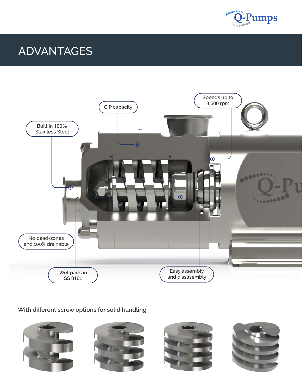

## ADVANTAGES



#### **With different screw options for solid handling**

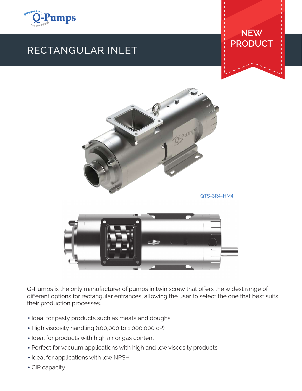

## RECTANGULAR INLET

### **NEW PRODUCT**



Q-Pumps is the only manufacturer of pumps in twin screw that offers the widest range of different options for rectangular entrances, allowing the user to select the one that best suits their production processes.

- Ideal for pasty products such as meats and doughs
- High viscosity handling (100,000 to 1,000,000 cP)
- Ideal for products with high air or gas content
- Perfect for vacuum applications with high and low viscosity products
- Ideal for applications with low NPSH
- CIP capacity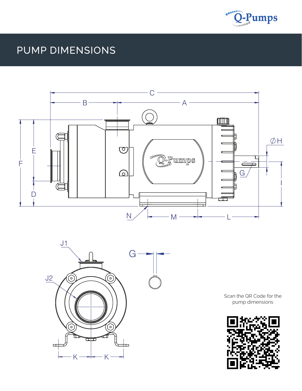

## PUMP DIMENSIONS





Scan the QR Code for the pump dimensions